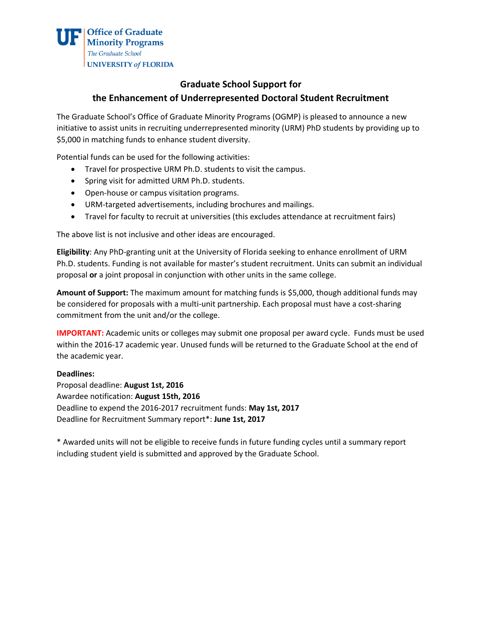## **Graduate School Support for the Enhancement of Underrepresented Doctoral Student Recruitment**

The Graduate School's Office of Graduate Minority Programs (OGMP) is pleased to announce a new initiative to assist units in recruiting underrepresented minority (URM) PhD students by providing up to \$5,000 in matching funds to enhance student diversity.

Potential funds can be used for the following activities:

- Travel for prospective URM Ph.D. students to visit the campus.
- Spring visit for admitted URM Ph.D. students.
- Open-house or campus visitation programs.
- URM-targeted advertisements, including brochures and mailings.
- Travel for faculty to recruit at universities (this excludes attendance at recruitment fairs)

The above list is not inclusive and other ideas are encouraged.

**Eligibility**: Any PhD‐granting unit at the University of Florida seeking to enhance enrollment of URM Ph.D. students. Funding is not available for master's student recruitment. Units can submit an individual proposal **or** a joint proposal in conjunction with other units in the same college.

**Amount of Support:** The maximum amount for matching funds is \$5,000, though additional funds may be considered for proposals with a multi-unit partnership. Each proposal must have a cost-sharing commitment from the unit and/or the college.

**IMPORTANT:** Academic units or colleges may submit one proposal per award cycle. Funds must be used within the 2016-17 academic year. Unused funds will be returned to the Graduate School at the end of the academic year.

## **Deadlines:**

Proposal deadline: **August 1st, 2016** Awardee notification: **August 15th, 2016** Deadline to expend the 2016‐2017 recruitment funds: **May 1st, 2017** Deadline for Recruitment Summary report\*: **June 1st, 2017**

\* Awarded units will not be eligible to receive funds in future funding cycles until a summary report including student yield is submitted and approved by the Graduate School.